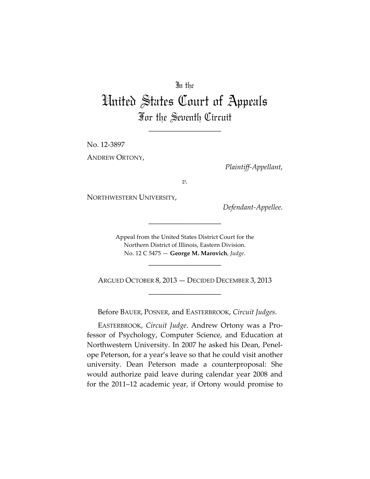## In the

## United States Court of Appeals For the Seventh Circuit

\_\_\_\_\_\_\_\_\_\_\_\_\_\_\_\_\_\_\_\_

No. 12-3897

ANDREW ORTONY,

*Plaintiff-Appellant*,

*v.*

NORTHWESTERN UNIVERSITY,

*Defendant-Appellee*.

Appeal from the United States District Court for the Northern District of Illinois, Eastern Division. No. 12 C 5475 — **George M. Marovich**, *Judge*.

\_\_\_\_\_\_\_\_\_\_\_\_\_\_\_\_\_\_\_\_

\_\_\_\_\_\_\_\_\_\_\_\_\_\_\_\_\_\_\_\_

ARGUED OCTOBER 8, 2013 — DECIDED DECEMBER 3, 2013 \_\_\_\_\_\_\_\_\_\_\_\_\_\_\_\_\_\_\_\_

Before BAUER, POSNER, and EASTERBROOK, *Circuit Judges*.

EASTERBROOK, *Circuit Judge*. Andrew Ortony was a Professor of Psychology, Computer Science, and Education at Northwestern University. In 2007 he asked his Dean, Penelope Peterson, for a year's leave so that he could visit another university. Dean Peterson made a counterproposal: She would authorize paid leave during calendar year 2008 and for the 2011–12 academic year, if Ortony would promise to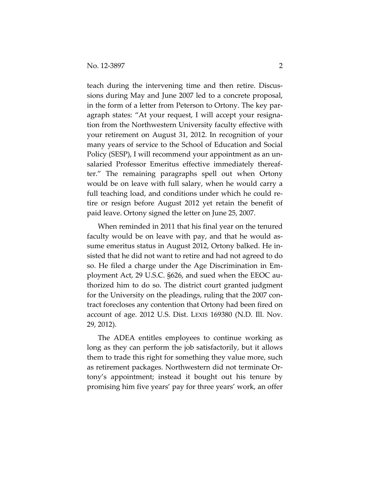teach during the intervening time and then retire. Discussions during May and June 2007 led to a concrete proposal, in the form of a letter from Peterson to Ortony. The key paragraph states: "At your request, I will accept your resignation from the Northwestern University faculty effective with your retirement on August 31, 2012. In recognition of your many years of service to the School of Education and Social Policy (SESP), I will recommend your appointment as an unsalaried Professor Emeritus effective immediately thereafter." The remaining paragraphs spell out when Ortony would be on leave with full salary, when he would carry a full teaching load, and conditions under which he could retire or resign before August 2012 yet retain the benefit of paid leave. Ortony signed the letter on June 25, 2007.

When reminded in 2011 that his final year on the tenured faculty would be on leave with pay, and that he would assume emeritus status in August 2012, Ortony balked. He insisted that he did not want to retire and had not agreed to do so. He filed a charge under the Age Discrimination in Employment Act, 29 U.S.C. §626, and sued when the EEOC authorized him to do so. The district court granted judgment for the University on the pleadings, ruling that the 2007 contract forecloses any contention that Ortony had been fired on account of age. 2012 U.S. Dist. LEXIS 169380 (N.D. Ill. Nov. 29, 2012).

The ADEA entitles employees to continue working as long as they can perform the job satisfactorily, but it allows them to trade this right for something they value more, such as retirement packages. Northwestern did not terminate Ortony's appointment; instead it bought out his tenure by promising him five years' pay for three years' work, an offer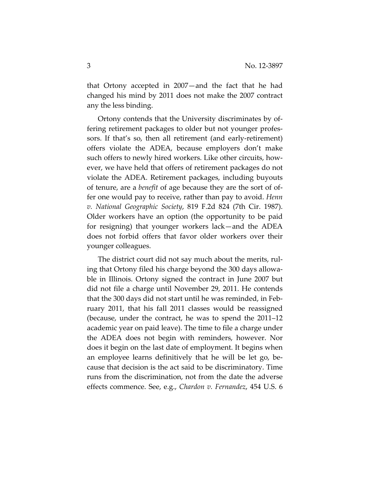that Ortony accepted in 2007—and the fact that he had changed his mind by 2011 does not make the 2007 contract any the less binding.

Ortony contends that the University discriminates by offering retirement packages to older but not younger professors. If that's so, then all retirement (and early-retirement) offers violate the ADEA, because employers don't make such offers to newly hired workers. Like other circuits, however, we have held that offers of retirement packages do not violate the ADEA. Retirement packages, including buyouts of tenure, are a *benefit* of age because they are the sort of offer one would pay to receive, rather than pay to avoid. *Henn v. National Geographic Society*, 819 F.2d 824 (7th Cir. 1987). Older workers have an option (the opportunity to be paid for resigning) that younger workers lack—and the ADEA does not forbid offers that favor older workers over their younger colleagues.

The district court did not say much about the merits, ruling that Ortony filed his charge beyond the 300 days allowable in Illinois. Ortony signed the contract in June 2007 but did not file a charge until November 29, 2011. He contends that the 300 days did not start until he was reminded, in February 2011, that his fall 2011 classes would be reassigned (because, under the contract, he was to spend the 2011–12 academic year on paid leave). The time to file a charge under the ADEA does not begin with reminders, however. Nor does it begin on the last date of employment. It begins when an employee learns definitively that he will be let go, because that decision is the act said to be discriminatory. Time runs from the discrimination, not from the date the adverse effects commence. See, e.g., *Chardon v. Fernandez*, 454 U.S. 6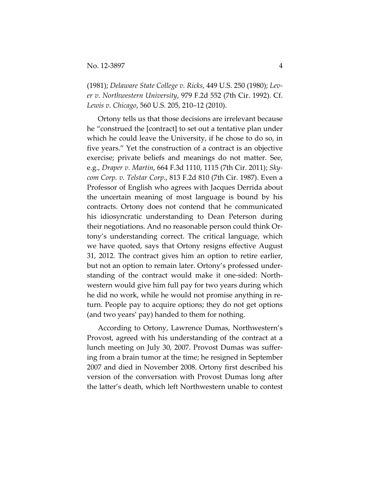(1981); *Delaware State College v. Ricks*, 449 U.S. 250 (1980); *Lever v. Northwestern University*, 979 F.2d 552 (7th Cir. 1992). Cf. *Lewis v. Chicago*, 560 U.S. 205, 210–12 (2010).

Ortony tells us that those decisions are irrelevant because he "construed the [contract] to set out a tentative plan under which he could leave the University, if he chose to do so, in five years." Yet the construction of a contract is an objective exercise; private beliefs and meanings do not matter. See, e.g., *Draper v. Martin*, 664 F.3d 1110, 1115 (7th Cir. 2011); *Skycom Corp. v. Telstar Corp*., 813 F.2d 810 (7th Cir. 1987). Even a Professor of English who agrees with Jacques Derrida about the uncertain meaning of most language is bound by his contracts. Ortony does not contend that he communicated his idiosyncratic understanding to Dean Peterson during their negotiations. And no reasonable person could think Ortony's understanding correct. The critical language, which we have quoted, says that Ortony resigns effective August 31, 2012. The contract gives him an option to retire earlier, but not an option to remain later. Ortony's professed understanding of the contract would make it one-sided: Northwestern would give him full pay for two years during which he did no work, while he would not promise anything in return. People pay to acquire options; they do not get options (and two years' pay) handed to them for nothing.

According to Ortony, Lawrence Dumas, Northwestern's Provost, agreed with his understanding of the contract at a lunch meeting on July 30, 2007. Provost Dumas was suffering from a brain tumor at the time; he resigned in September 2007 and died in November 2008. Ortony first described his version of the conversation with Provost Dumas long after the latter's death, which left Northwestern unable to contest